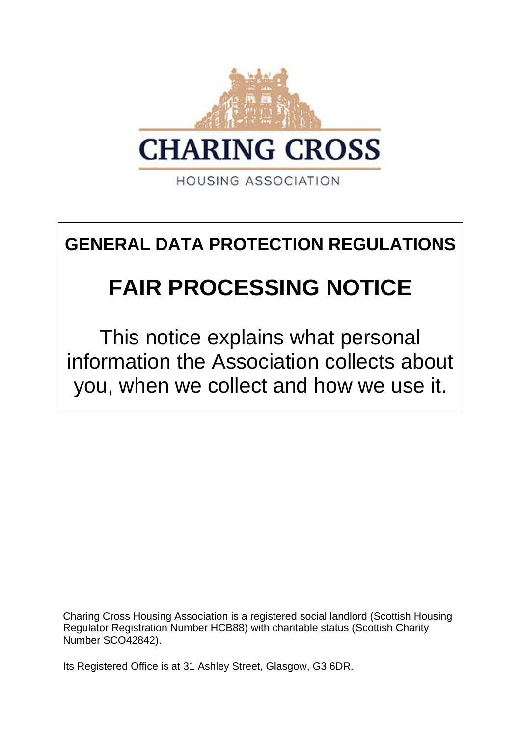

**HOUSING ASSOCIATION** 

# **GENERAL DATA PROTECTION REGULATIONS**

# **FAIR PROCESSING NOTICE**

This notice explains what personal information the Association collects about you, when we collect and how we use it.

Charing Cross Housing Association is a registered social landlord (Scottish Housing Regulator Registration Number HCB88) with charitable status (Scottish Charity Number SCO42842).

Its Registered Office is at 31 Ashley Street, Glasgow, G3 6DR.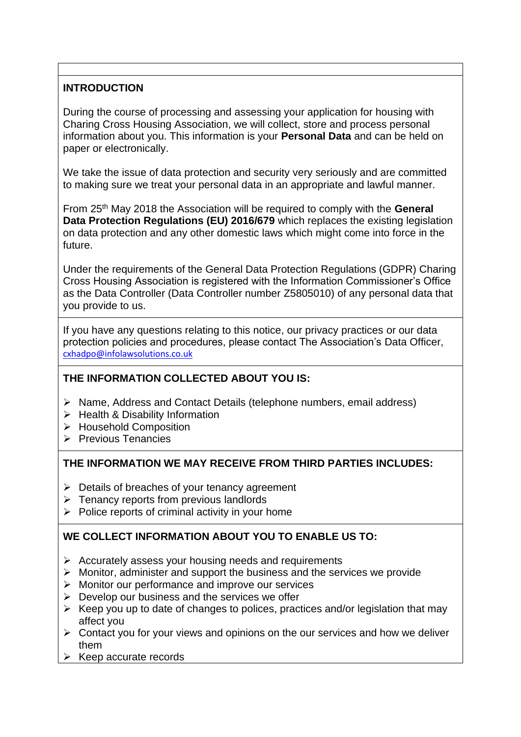# **INTRODUCTION**

During the course of processing and assessing your application for housing with Charing Cross Housing Association, we will collect, store and process personal information about you. This information is your **Personal Data** and can be held on paper or electronically.

We take the issue of data protection and security very seriously and are committed to making sure we treat your personal data in an appropriate and lawful manner.

From 25th May 2018 the Association will be required to comply with the **General Data Protection Regulations (EU) 2016/679** which replaces the existing legislation on data protection and any other domestic laws which might come into force in the future.

Under the requirements of the General Data Protection Regulations (GDPR) Charing Cross Housing Association is registered with the Information Commissioner's Office as the Data Controller (Data Controller number Z5805010) of any personal data that you provide to us.

If you have any questions relating to this notice, our privacy practices or our data protection policies and procedures, please contact The Association's Data Officer, [cxhadpo@infolawsolutions.co.uk](mailto:cxhadpo@infolawsolutions.co.uk)

#### **THE INFORMATION COLLECTED ABOUT YOU IS:**

- ➢ Name, Address and Contact Details (telephone numbers, email address)
- ➢ Health & Disability Information
- ➢ Household Composition
- ➢ Previous Tenancies

#### **THE INFORMATION WE MAY RECEIVE FROM THIRD PARTIES INCLUDES:**

- $\triangleright$  Details of breaches of your tenancy agreement
- $\triangleright$  Tenancy reports from previous landlords
- $\triangleright$  Police reports of criminal activity in your home

# **WE COLLECT INFORMATION ABOUT YOU TO ENABLE US TO:**

- ➢ Accurately assess your housing needs and requirements
- ➢ Monitor, administer and support the business and the services we provide
- ➢ Monitor our performance and improve our services
- $\triangleright$  Develop our business and the services we offer
- $\triangleright$  Keep you up to date of changes to polices, practices and/or legislation that may affect you
- ➢ Contact you for your views and opinions on the our services and how we deliver them
- $\triangleright$  Keep accurate records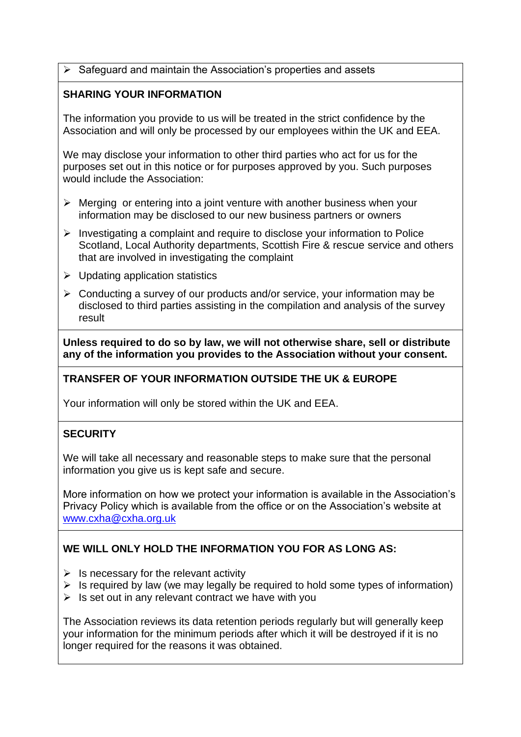➢ Safeguard and maintain the Association's properties and assets

#### **SHARING YOUR INFORMATION**

The information you provide to us will be treated in the strict confidence by the Association and will only be processed by our employees within the UK and EEA.

We may disclose your information to other third parties who act for us for the purposes set out in this notice or for purposes approved by you. Such purposes would include the Association:

- $\triangleright$  Merging or entering into a joint venture with another business when your information may be disclosed to our new business partners or owners
- ➢ Investigating a complaint and require to disclose your information to Police Scotland, Local Authority departments, Scottish Fire & rescue service and others that are involved in investigating the complaint
- ➢ Updating application statistics
- ➢ Conducting a survey of our products and/or service, your information may be disclosed to third parties assisting in the compilation and analysis of the survey result

**Unless required to do so by law, we will not otherwise share, sell or distribute any of the information you provides to the Association without your consent.**

# **TRANSFER OF YOUR INFORMATION OUTSIDE THE UK & EUROPE**

Your information will only be stored within the UK and EEA.

# **SECURITY**

We will take all necessary and reasonable steps to make sure that the personal information you give us is kept safe and secure.

More information on how we protect your information is available in the Association's Privacy Policy which is available from the office or on the Association's website at [www.cxha@cxha.org.uk](http://www.cxha@cxha.org.uk)

# **WE WILL ONLY HOLD THE INFORMATION YOU FOR AS LONG AS:**

- $\triangleright$  Is necessary for the relevant activity
- $\triangleright$  Is required by law (we may legally be required to hold some types of information)
- $\triangleright$  Is set out in any relevant contract we have with you

The Association reviews its data retention periods regularly but will generally keep your information for the minimum periods after which it will be destroyed if it is no longer required for the reasons it was obtained.